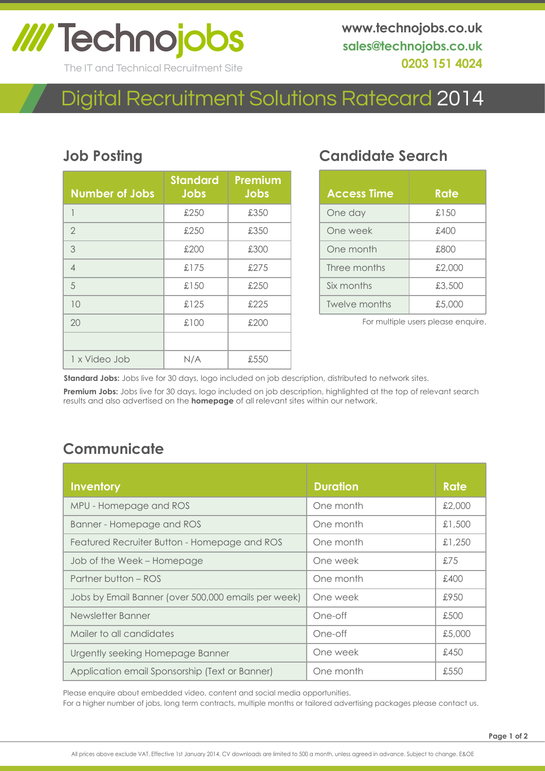# **IIII Technojobs**

The IT and Technical Recruitment Site

# Digital Recruitment Solutions Ratecard 2014

#### **Job Posting**

| <b>Number of Jobs</b> | <b>Standard</b><br><b>Jobs</b> | <b>Premium</b><br><b>Jobs</b> |
|-----------------------|--------------------------------|-------------------------------|
| 1                     | £250                           | £350                          |
| $\overline{2}$        | £250                           | £350                          |
| 3                     | £200                           | £300                          |
| $\overline{4}$        | £175                           | £275                          |
| 5                     | £150                           | £250                          |
| 10                    | £125                           | £225                          |
| 20                    | £100                           | £200                          |
|                       |                                |                               |
| 1 x Video Job         | N/A                            | £550                          |

## **Candidate Search**

| <b>Access Time</b> | Rate   |
|--------------------|--------|
| One day            | £150   |
| One week           | £400   |
| One month          | £800   |
| Three months       | £2,000 |
| Six months         | £3,500 |
| Twelve months      | £5,000 |

For multiple users please enquire.

**Standard Jobs:** Jobs live for 30 days, logo included on job description, distributed to network sites.

**Premium Jobs:** Jobs live for 30 days, logo included on job description, highlighted at the top of relevant search results and also advertised on the **homepage** of all relevant sites within our network.

### **Communicate**

| <b>Inventory</b>                                    | <b>Duration</b> | <b>Rate</b> |
|-----------------------------------------------------|-----------------|-------------|
| MPU - Homepage and ROS                              | One month       | £2,000      |
| Banner - Homepage and ROS                           | One month       | £1,500      |
| Featured Recruiter Button - Homepage and ROS        | One month       | £1,250      |
| Job of the Week - Homepage                          | One week        | £75         |
| Partner button – ROS                                | One month       | £400        |
| Jobs by Email Banner (over 500,000 emails per week) | One week        | £950        |
| Newsletter Banner                                   | One-off         | £500        |
| Mailer to all candidates                            | One-off         | £5,000      |
| Urgently seeking Homepage Banner                    | One week        | £450        |
| Application email Sponsorship (Text or Banner)      | One month       | £550        |

For a higher number of jobs, long term contracts, multiple months or tailored advertising packages please contact us. Please enquire about embedded video, content and social media opportunities.